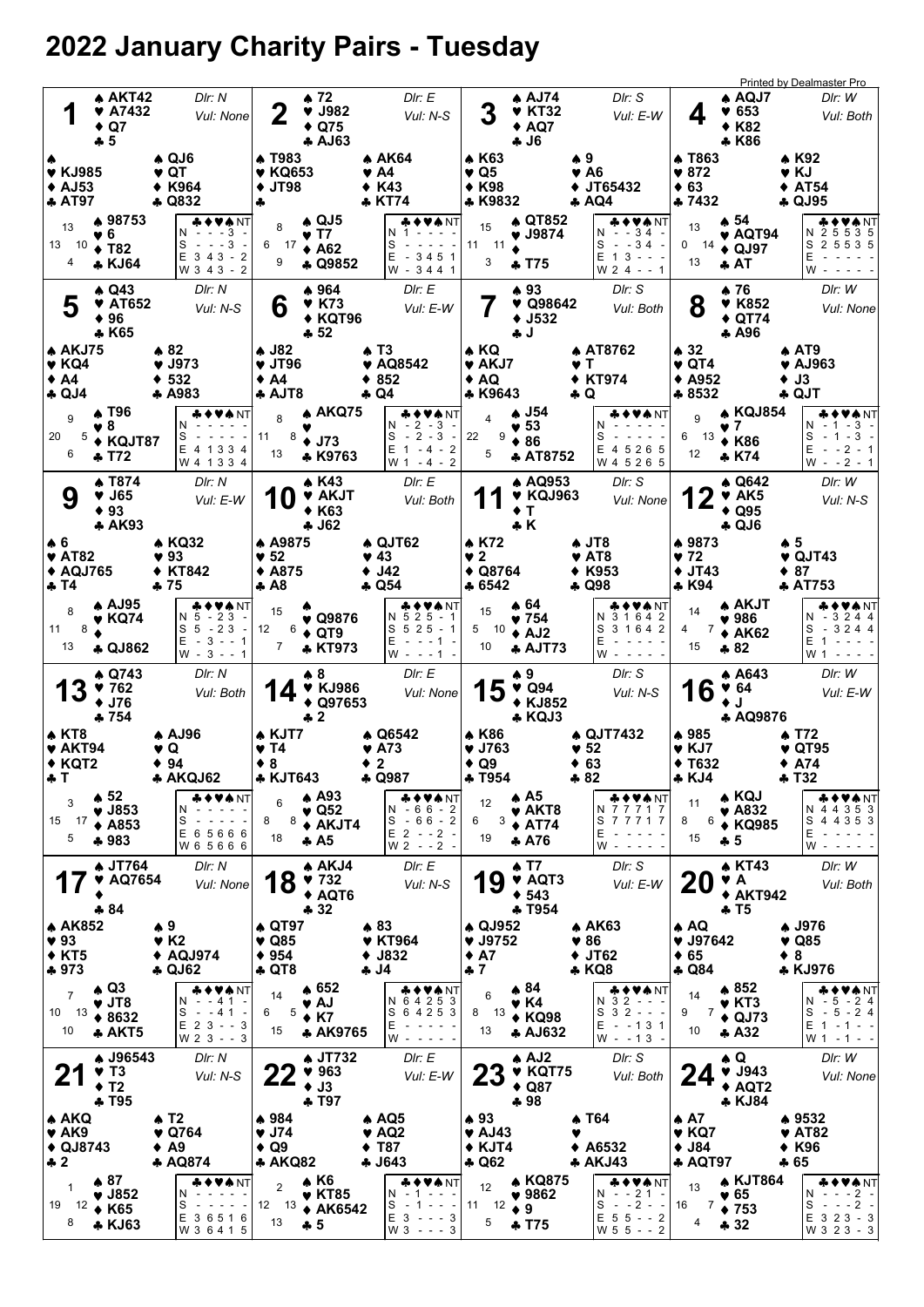## 2022 January Charity Pairs - Tuesday

| 1                                                                                  |   | <b>AKT42</b><br>$\blacktriangledown$ A7432<br>$\triangle$ Q7<br>$+5$    | DIr: N<br>Vul: None                                                                                                                                                                                                | 2                                                             | ▲ 72<br>$\blacktriangledown$ J982<br>$\triangle$ Q75<br><b>4 AJ63</b>    | Dir: E<br>Vul: N-S                                                                                                                                                                                                  |                                                              | $A$ AJ74<br><b>V KT32</b><br>$\triangle$ AQ7<br><b>4 J6</b>              | DIr: S<br>Vul: E-W                                                      | 4                                                                                   | <b>Printed by Dealmaster Pro</b><br>$\triangle$ AQJ7<br>DIr: W<br>$\blacktriangledown 653$<br>Vul: Both<br><b>K82</b><br>* K86                         |  |
|------------------------------------------------------------------------------------|---|-------------------------------------------------------------------------|--------------------------------------------------------------------------------------------------------------------------------------------------------------------------------------------------------------------|---------------------------------------------------------------|--------------------------------------------------------------------------|---------------------------------------------------------------------------------------------------------------------------------------------------------------------------------------------------------------------|--------------------------------------------------------------|--------------------------------------------------------------------------|-------------------------------------------------------------------------|-------------------------------------------------------------------------------------|--------------------------------------------------------------------------------------------------------------------------------------------------------|--|
| <b>v</b> KJ985<br>$\triangle$ AJ53<br>♣ AT97                                       |   |                                                                         | $\clubsuit$ QJ6<br>$\blacktriangledown$ QT<br>K964<br>♣ Q832                                                                                                                                                       | <b>A T983</b><br><b>v</b> KQ653<br><b>JT98</b><br>٠<br>4      |                                                                          | ▲ AK64<br>♥ A4<br>$*$ K43<br>♣ KT74                                                                                                                                                                                 | ▲ K63<br>♥ Q5<br>$*$ K98<br>♣ K9832                          |                                                                          | ₩9.<br>♥ A6<br>JT65432<br><b>A AQ4</b>                                  | ≱ Т863<br>$\blacktriangledown 872$<br>$*63$<br>♣ 7432                               | ▲ K92<br>♥ KJ<br>$\triangle$ AT54<br>♣ QJ95                                                                                                            |  |
| 13<br>13 10<br>4                                                                   |   | ▲ 98753<br>♥ 6<br>$\div$ T82<br>* KJ64                                  | ◆♥♠NT<br>N<br>- 3<br>s<br>$\sim$<br>$- - 3$<br>$E$ 3 4 3 - 2<br>W 3 4 3 - 2                                                                                                                                        | 8<br>17<br>6<br>9                                             | $\triangle$ QJ5<br>♥ T7<br>$\triangle$ A62<br><b>4 Q9852</b>             | N.<br>s<br>E<br>$-3451$<br>W - 3441                                                                                                                                                                                 | 15<br>11 11<br>3                                             | A QT852<br>♥ J9874<br>* T75                                              | ♣♦♥♠ NT<br>$N - 34 -$<br>S<br>$-34 -$<br>Е<br>$13 - -$<br>$W 2 4 - - 1$ | 13<br>0<br>- 14<br>13                                                               | ▲ 54<br>VANT<br>N 2 5 5 3 5<br>♥ AQT94<br>S<br>2 5 5 3 5<br>$\triangle$ QJ97<br>Ε<br>♣ AT<br>W                                                         |  |
| 5                                                                                  |   | $\triangle$ Q43<br><b>V</b> AT652<br>$*96$<br>* K65                     | DIr: N<br>Vul: N-S                                                                                                                                                                                                 | 6<br>$\triangle$ J82                                          | ▲ 964<br><b>V</b> K73<br>$\blacklozenge$ KQT96<br>♣ 52                   | Dir: E<br>Vul: E-W                                                                                                                                                                                                  |                                                              | ▲ 93<br>$\blacktriangledown$ Q98642<br>$+$ J532<br>∔ J                   | Dir: S<br>Vul: Both                                                     | 8                                                                                   | $\bullet$ 76<br>DIr: W<br>♥ K852<br>Vul: None<br>$\triangle$ QT74<br>A.496                                                                             |  |
| <b>AKJ75</b><br>$\blacktriangledown$ KQ4<br>$\bullet$ A4<br>$\clubsuit$ QJ4        |   |                                                                         | $* 82$<br>$\blacktriangledown$ J973<br>♦ 532<br>* A983                                                                                                                                                             | $\blacktriangledown$ JT96<br>$\bullet$ A4<br>♣ AJT8           |                                                                          | ♠ Т3<br>♥ AQ8542<br>852<br>♣ Q4                                                                                                                                                                                     | ♠ KQ<br>$\blacktriangledown$ AKJ7<br>♦ AQ<br>* K9643         |                                                                          | <b>A AT8762</b><br>v T<br><b>◆ KT974</b><br>♣ Q                         | $\clubsuit$ 32<br>$\blacktriangledown$ QT4<br>$\triangle$ A952<br>♣ 8532            | $\triangle$ AT9<br>$\blacktriangledown$ AJ963<br>♦ J3<br>♣ QJT                                                                                         |  |
| 9<br>20<br>6                                                                       | 5 | A T96<br>♥8<br>♦ KQJT87<br><b>+ T72</b>                                 | VA NT<br>N.<br>S<br>E 4 1 3 3 4<br>W 4 1 3 3 4                                                                                                                                                                     | 8<br>11<br>8<br>13                                            | ♠ AKQ75<br>$+ J73$<br>* K9763                                            | &♦♥★NT<br>$-2 - 3 -$<br>N.<br>$-2-3$<br>S<br>$\overline{\phantom{a}}$<br>E 1<br>$\overline{2}$<br>-4-<br>W 1 - 4 - 2                                                                                                | 22<br>9<br>5                                                 | ▲ J54<br>$\blacktriangledown$ 53<br>$*86$<br><b>* AT8752</b>             | S<br>Е<br>4 5 2 6 5<br>W 4 5 2 6 5                                      | 9<br>♥ 7<br>13<br>6<br>12                                                           | <b>A KQJ854</b><br>VANT<br>N - 1 - 3 -<br>S<br>$-1 - 3 -$<br><b>◆ K86</b><br>Ε<br>$- - 2 - 1$<br>* K74<br>$W - -2 - 1$                                 |  |
| 9                                                                                  |   | ▲ T874<br>♥ J65<br>$\bullet$ 93<br><b>4 AK93</b>                        | DIr: N<br>Vul: E-W                                                                                                                                                                                                 |                                                               | ▲ K43<br><b>V AKJT</b><br><b>◆ K63</b><br>♣ J62                          | DIr: E<br>Vul: Both                                                                                                                                                                                                 |                                                              | A AQ953<br>$\blacktriangledown$ KQJ963<br>$\mathbf{T}$<br>$+K$           | DIr: S<br>Vul: None                                                     |                                                                                     | ▲ Q642<br>DIr: W<br>$\blacktriangledown$ AK5<br>Vul: N-S<br>$\triangle$ Q95<br>$\clubsuit$ QJ6                                                         |  |
| ♠6<br>$\blacktriangledown$ AT82<br>◆ AQJ765<br>♣ T4                                |   |                                                                         | <b>* KQ32</b><br>♥ 93<br>♦ KT842<br>♣ 75                                                                                                                                                                           | ♠ A9875<br>$\blacktriangledown$ 52<br><b>◆ A875</b><br>♣ А8   |                                                                          | $\triangle$ QJT62<br>♥ 43<br>$\blacklozenge$ J42<br>♣ Q54                                                                                                                                                           | ♦ K72<br>♥ 2<br>$\triangle$ Q8764<br>♣ 6542                  |                                                                          | ↑ JT8<br>♥ AT8<br><b>◆ K953</b><br>♣ Q98                                | ♠ 9873<br>♥ 72<br>$\blacklozenge$ JT43<br>* K94                                     | ♠ 5<br>$\blacktriangledown$ QJT43<br>$*87$<br>* AT753                                                                                                  |  |
| 8<br>8<br>11<br>13                                                                 |   | <b>A AJ95</b><br>♥ KQ74<br><b>4 QJ862</b>                               | ◆♥♠NT<br>$-23 -$<br>N 5<br>S 5 - 23 -<br>$E - 3 - - 1$<br>$W - 3 - - 1$                                                                                                                                            | 15<br>12<br>6<br>7                                            | ♥ Q9876<br>$\bullet$ QT9<br>* KT973                                      | ⊾◆♥★ NT<br>N 5 2 5 - 1<br>$S525 - 1$<br>E<br>$- - 1$<br>w -<br>--1                                                                                                                                                  | 15<br>5 10<br>10                                             | ♠ 64<br>♥ 754<br>$\triangle$ AJ2<br><b>* AJT73</b>                       | & ♦ ♥★ NT<br>3 1 6 4 2<br>N<br>S<br>3 1 6 4 2<br>Ε<br>w                 | 14<br>7<br>4<br>15                                                                  | ▲ AKJT<br><b>▲◆♥♠</b> NT<br>N - 3 2 4 4<br>$\blacktriangledown$ 986<br>$-3244$<br>S<br>$* AK62$<br>E <sub>1</sub><br>$*82$<br>W 1                      |  |
| 13                                                                                 |   | $\triangle$ Q743<br>9762<br>$+$ J76<br>♣ 754                            | DIr: N<br>Vul: Both                                                                                                                                                                                                |                                                               | ♠8<br><b>V KJ986</b><br>$\triangle$ Q97653<br>♣ 2                        | Dir: E<br>Vul: None                                                                                                                                                                                                 | 15                                                           | ♠ 9<br>$\blacktriangledown$ Q94<br>◆ KJ852<br>* KQJ3                     | DIr: S<br>Vul: N-S                                                      | 16<br>$\bullet$ J                                                                   | DIr: W<br>A A643<br>♥ 64<br>Vul: E-W<br><b>A AQ9876</b>                                                                                                |  |
| $\clubsuit$ KT8<br>$\blacktriangledown$ AKT94<br>$\triangle$ KQT2<br>ФI            |   |                                                                         | 4 AJ96<br>V Q<br>94<br><b>AKQJ62</b>                                                                                                                                                                               | ♠ KJT7<br>♥ T4<br>$\bullet$ 8<br><b>* KJT643</b>              |                                                                          | ♠ Q6542<br>♥ A73<br>$\bullet$ 2<br><b>4 Q987</b>                                                                                                                                                                    | ♠ K86<br>♥ J763<br>$\triangle$ Q9<br><b>4 T954</b>           |                                                                          | $\triangle$ QJT7432<br>♥ 52<br>$+63$<br>$*82$                           | ♠ 985<br>$V$ KJ7<br>$\blacklozenge$ T632<br>⊕ KJ4                                   | 4 T72<br>QT95<br>♦ A74<br>♣ 132                                                                                                                        |  |
| 3<br>15 17<br>5                                                                    |   | $\clubsuit$ 52<br>$\blacktriangledown$ J853<br>$\triangle$ A853<br>♣983 | ♣♦♥♠NT<br>N<br>S<br>$\sim$<br>$\frac{1}{2} \left( \frac{1}{2} \right) \left( \frac{1}{2} \right) \left( \frac{1}{2} \right) \left( \frac{1}{2} \right)$<br>E 6 5 6 6 6<br>W 6 5 6 6 6                              | 6<br>8<br>8<br>18                                             | $\clubsuit$ A93<br>$\blacktriangledown$ Q52<br>♦ AKJT4<br>$\clubsuit$ A5 | ♣♦♥♠NT<br>$N - 66 - 2$<br>$-66 - 2$<br>S<br>$E$ 2 - - 2 -<br>$W 2 - -2 -$                                                                                                                                           | 12<br>3<br>6<br>19                                           | $\clubsuit$ A5<br>♥ AKT8<br>$\triangle$ AT74<br>$+ A76$                  | ♣♦♥♠NT<br>N 7 7 7 1 7<br>S<br>77717<br>Ε<br>$W - - - -$                 | 11<br>6<br>8<br>15<br>$\clubsuit$ 5                                                 | ♠ KQJ<br>VANT<br>N 4 4 3 5 3<br>$\blacktriangledown$ A832<br>S<br>4 4 3 5 3<br>◆ KQ985<br>Е<br>$W -$                                                   |  |
| 17                                                                                 |   | <b>4 JT764</b><br><b>* AQ7654</b><br>$-84$                              | Dir: N<br>Vul: None                                                                                                                                                                                                | 18                                                            | A AKJ4<br>$\blacktriangledown$ 732<br>◆ AQT6<br>$-32$                    | Dir: E<br>Vul: N-S                                                                                                                                                                                                  | 19                                                           | <b>↑ T7</b><br><b>V</b> AQT3<br>$+ 543$<br><b>4 T954</b>                 | DIr: S<br>Vul: E-W                                                      | <b>20</b>                                                                           | <b>A KT43</b><br>DIr: W<br>VA<br>Vul: Both<br><b>◆ AKT942</b><br>$\clubsuit$ T5                                                                        |  |
| <b>4 AK852</b><br>$\blacktriangledown$ 93<br>$*$ KT5<br>♣ 973                      |   |                                                                         | ♠ 9<br>$\blacktriangledown$ K2<br>◆ AQJ974<br><b>4 QJ62</b>                                                                                                                                                        | ♦ QT97<br>$\blacktriangledown$ Q85<br>$* 954$<br><b>4 QT8</b> |                                                                          | $*83$<br><b>V</b> KT964<br>$•$ J832<br><b>4J4</b>                                                                                                                                                                   | ♦ QJ952<br>9752<br>$\triangle$ A7<br>$+7$                    |                                                                          | <b>A AK63</b><br>$\blacktriangledown 86$<br>$+$ JT62<br>♣ KQ8           | $\clubsuit$ AQ<br>97642<br>$\div 65$<br>$\clubsuit$ Q84                             | ♣ J976<br>$\blacktriangledown$ Q85<br>$\bullet$ 8<br>* KJ976                                                                                           |  |
| $\overline{7}$<br>13<br>10<br>10                                                   |   | $\triangle$ Q3<br>$\blacktriangledown$ JT8<br>$*8632$<br>* AKT5         | ♦♥♣NT<br>--41<br>N<br>S<br>$- - 41 -$<br>$E$ 2 3 - - 3<br>W 2 3 - - 3                                                                                                                                              | 14<br>5<br>6<br>15                                            | $\spadesuit$ 652<br>♥ AJ<br>$\triangle$ K7<br>* AK9765                   | <b>* ◆ ♥ ♠</b> NT<br>N 6 4 2 5 3<br>S 6 4 2 5 3<br>Е<br>$\frac{1}{2} \left( \frac{1}{2} \right) \left( \frac{1}{2} \right) \left( \frac{1}{2} \right) \left( \frac{1}{2} \right) \left( \frac{1}{2} \right)$<br>W - | 6<br>13<br>8<br>13                                           | $\clubsuit 84$<br>$\blacktriangledown$ K4<br>$\triangle$ KQ98<br>* AJ632 | ♣♦♥♠NT<br>N 3 2 - - -<br>$S_3 2 - -$<br>Е<br>$- - 131$<br>$W - 13 -$    | 14<br>7<br>9<br>10                                                                  | $*852$<br>♣♦♥♠NT<br>$N - 5 - 24$<br>$\blacktriangledown$ KT3<br>$-5 - 24$<br>S<br>$\triangle$ QJ73<br>$E$ 1 - 1 - -<br>$+ A32$<br>$W 1 - 1 - -$        |  |
| $\mathbf 2$                                                                        |   | <b>↑ J96543</b><br>$\blacktriangledown$ T3<br>$+T2$<br>+T95             | DIr: N<br>Vul: N-S                                                                                                                                                                                                 | <u>ZZ</u>                                                     | <b>4 JT732</b><br>963<br>$+$ J3<br>♣ T97                                 | DIr: E<br>Vul: E-W                                                                                                                                                                                                  | <b>23</b>                                                    | $A$ AJ2<br>♥ KQT75<br>$\triangle$ Q87<br>$+98$                           | DIr: S<br>Vul: Both                                                     | 24                                                                                  | $\clubsuit$ Q<br>DIr: W<br>$\blacktriangledown$ J943<br>Vul: None<br>$\triangle$ AQT2<br>* KJ84                                                        |  |
| $\triangle$ AKQ<br>$\blacktriangledown$ AK9<br>$\triangle$ QJ8743<br>$\clubsuit$ 2 |   |                                                                         | $\triangle$ T2<br>♥ Q764<br>$\triangle$ A9<br><b>4 AQ874</b>                                                                                                                                                       | ♦ 984<br>♥ J74<br>$\triangle$ Q9<br><b>* AKQ82</b>            |                                                                          | $\spadesuit$ AQ5<br>$\blacktriangledown$ AQ2<br>$\blacklozenge$ T87<br><b>4 J643</b>                                                                                                                                | $*93$<br>$\blacktriangledown$ AJ43<br>◆ KJT4<br><b>4 Q62</b> |                                                                          | ♠ Т64<br>$*$ A6532<br>* AKJ43                                           | $\triangle$ A7<br>$\blacktriangledown$ KQ7<br>$\blacklozenge$ J84<br><b>4 AQT97</b> | ♦ 9532<br>♥ AT82<br>$*$ K96<br>♣ 65                                                                                                                    |  |
| 1<br>19<br>12<br>8                                                                 |   | $\clubsuit 87$<br>$\blacktriangledown$ J852<br><b>◆ K65</b><br>* KJ63   | <b>₩♦₩</b> ₩<br>N<br>S<br>$\sim$<br>$\frac{1}{2} \left( \frac{1}{2} \right) \left( \frac{1}{2} \right) \left( \frac{1}{2} \right) \left( \frac{1}{2} \right) \left( \frac{1}{2} \right)$<br>E 36516<br>W 3 6 4 1 5 | $\overline{2}$<br>12<br>- 13<br>13                            | $\clubsuit$ K6<br>$\blacktriangledown$ KT85<br><b>◆ AK6542</b><br>♣ 5    | ♣♦♥♠ NT<br>N.<br>$-1 - - -$<br>S<br>$-1 - - -$<br>$E$ 3 - - - 3<br>$W3 - - 3$                                                                                                                                       | 12<br>12<br>11<br>5                                          | A KQ875<br>$* 9862$<br>$\bullet$ 9<br>÷ T75                              | ♣♦♥♠NT<br>$N - 21 -$<br>$-2 - 1$<br>S<br>$E$ 5 5 - - 2<br>$W 5 5 - 2$   | 13<br>7<br>16<br>$\overline{4}$                                                     | <b>A KJT864</b><br>♣♦♥♠ NT <br>$- - - 2 -$<br>N<br>$\blacktriangledown 65$<br>$- - - 2 -$<br>S<br>$\bullet$ 753<br>E 3 2 3 - 3<br>$-32$<br>W 3 2 3 - 3 |  |